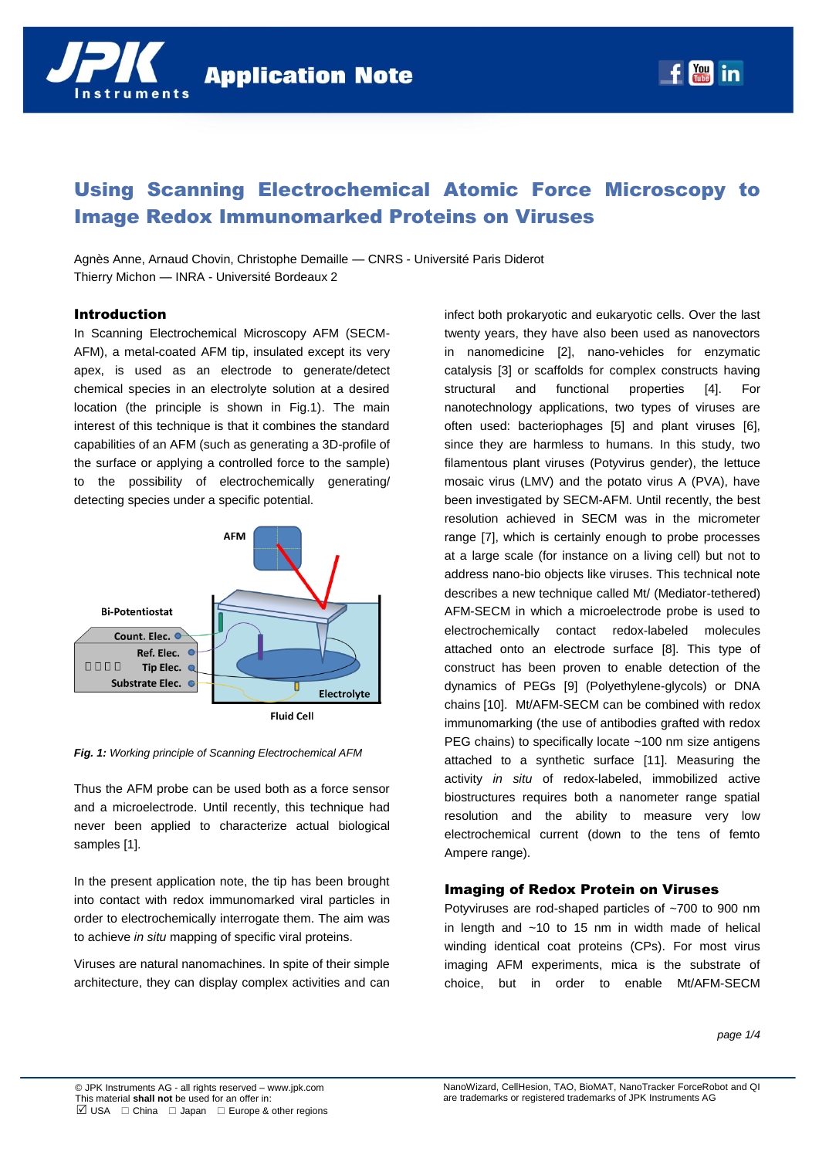

# Using Scanning Electrochemical Atomic Force Microscopy to Image Redox Immunomarked Proteins on Viruses

Agnès Anne, Arnaud Chovin, Christophe Demaille — CNRS - Université Paris Diderot Thierry Michon — INRA - Université Bordeaux 2

### Introduction

In Scanning Electrochemical Microscopy AFM (SECM-AFM), a metal-coated AFM tip, insulated except its very apex, is used as an electrode to generate/detect chemical species in an electrolyte solution at a desired location (the principle is shown in Fig.1). The main interest of this technique is that it combines the standard capabilities of an AFM (such as generating a 3D-profile of the surface or applying a controlled force to the sample) to the possibility of electrochemically generating/ detecting species under a specific potential.



*Fig. 1: Working principle of Scanning Electrochemical AFM*

Thus the AFM probe can be used both as a force sensor and a microelectrode. Until recently, this technique had never been applied to characterize actual biological samples [1].

In the present application note, the tip has been brought into contact with redox immunomarked viral particles in order to electrochemically interrogate them. The aim was to achieve *in situ* mapping of specific viral proteins.

Viruses are natural nanomachines. In spite of their simple architecture, they can display complex activities and can infect both prokaryotic and eukaryotic cells. Over the last twenty years, they have also been used as nanovectors in nanomedicine [2], nano-vehicles for enzymatic catalysis [3] or scaffolds for complex constructs having structural and functional properties [4]. For nanotechnology applications, two types of viruses are often used: bacteriophages [5] and plant viruses [6], since they are harmless to humans. In this study, two filamentous plant viruses (Potyvirus gender), the lettuce mosaic virus (LMV) and the potato virus A (PVA), have been investigated by SECM-AFM. Until recently, the best resolution achieved in SECM was in the micrometer range [7], which is certainly enough to probe processes at a large scale (for instance on a living cell) but not to address nano-bio objects like viruses. This technical note describes a new technique called Mt/ (Mediator-tethered) AFM-SECM in which a microelectrode probe is used to electrochemically contact redox-labeled molecules attached onto an electrode surface [8]. This type of construct has been proven to enable detection of the dynamics of PEGs [9] (Polyethylene-glycols) or DNA chains [10]. Mt/AFM-SECM can be combined with redox immunomarking (the use of antibodies grafted with redox PEG chains) to specifically locate ~100 nm size antigens attached to a synthetic surface [11]. Measuring the activity *in situ* of redox-labeled, immobilized active biostructures requires both a nanometer range spatial resolution and the ability to measure very low electrochemical current (down to the tens of femto Ampere range).

# Imaging of Redox Protein on Viruses

Potyviruses are rod-shaped particles of ~700 to 900 nm in length and ~10 to 15 nm in width made of helical winding identical coat proteins (CPs). For most virus imaging AFM experiments, mica is the substrate of choice, but in order to enable Mt/AFM-SECM

*page 1/4*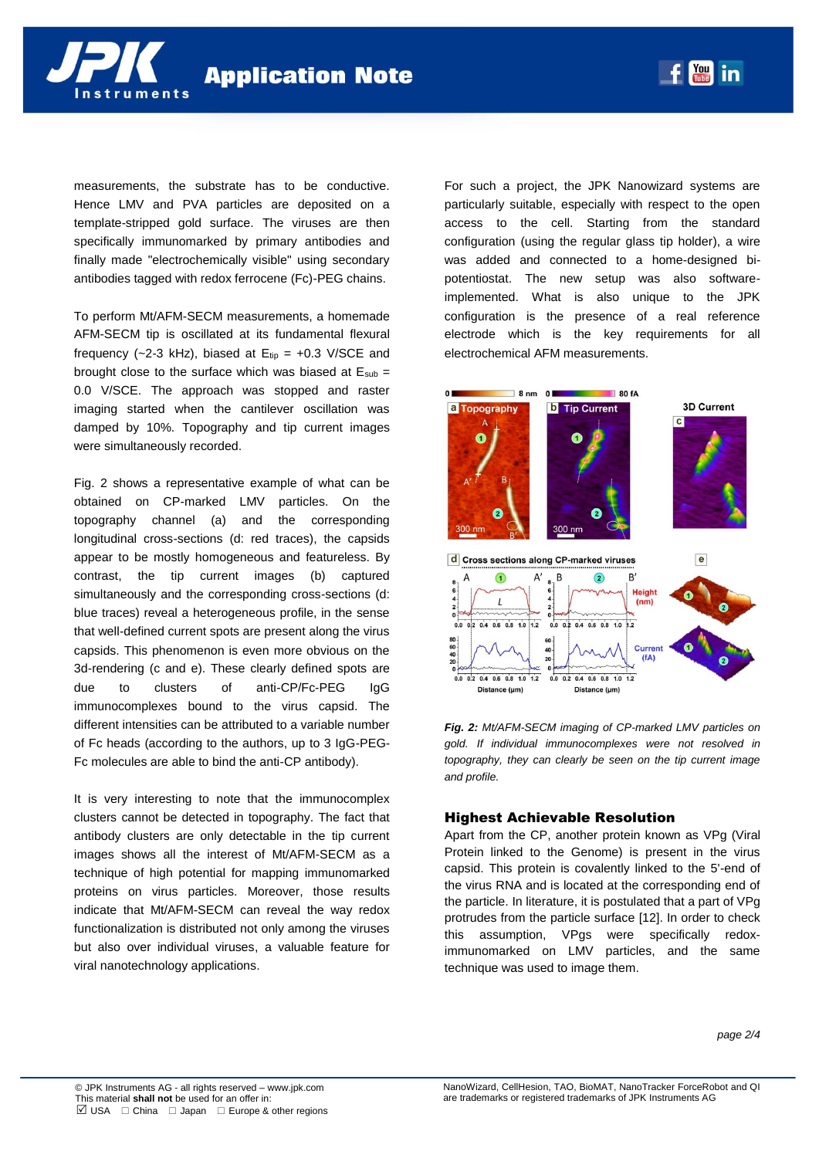

measurements, the substrate has to be conductive. Hence LMV and PVA particles are deposited on a template-stripped gold surface. The viruses are then specifically immunomarked by primary antibodies and finally made "electrochemically visible" using secondary antibodies tagged with redox ferrocene (Fc)-PEG chains.

To perform Mt/AFM-SECM measurements, a homemade AFM-SECM tip is oscillated at its fundamental flexural frequency (~2-3 kHz), biased at  $E_{tip} = +0.3$  V/SCE and brought close to the surface which was biased at  $E_{sub}$  = 0.0 V/SCE. The approach was stopped and raster imaging started when the cantilever oscillation was damped by 10%. Topography and tip current images were simultaneously recorded.

Fig. 2 shows a representative example of what can be obtained on CP-marked LMV particles. On the topography channel (a) and the corresponding longitudinal cross-sections (d: red traces), the capsids appear to be mostly homogeneous and featureless. By contrast, the tip current images (b) captured simultaneously and the corresponding cross-sections (d: blue traces) reveal a heterogeneous profile, in the sense that well-defined current spots are present along the virus capsids. This phenomenon is even more obvious on the 3d-rendering (c and e). These clearly defined spots are due to clusters of anti-CP/Fc-PEG IgG immunocomplexes bound to the virus capsid. The different intensities can be attributed to a variable number of Fc heads (according to the authors, up to 3 IgG-PEG-Fc molecules are able to bind the anti-CP antibody).

It is very interesting to note that the immunocomplex clusters cannot be detected in topography. The fact that antibody clusters are only detectable in the tip current images shows all the interest of Mt/AFM-SECM as a technique of high potential for mapping immunomarked proteins on virus particles. Moreover, those results indicate that Mt/AFM-SECM can reveal the way redox functionalization is distributed not only among the viruses but also over individual viruses, a valuable feature for viral nanotechnology applications.

For such a project, the JPK Nanowizard systems are particularly suitable, especially with respect to the open access to the cell. Starting from the standard configuration (using the regular glass tip holder), a wire was added and connected to a home-designed bipotentiostat. The new setup was also softwareimplemented. What is also unique to the JPK configuration is the presence of a real reference electrode which is the key requirements for all electrochemical AFM measurements.

**You in** 



*Fig. 2: Mt/AFM-SECM imaging of CP-marked LMV particles on gold. If individual immunocomplexes were not resolved in topography, they can clearly be seen on the tip current image and profile.*

## Highest Achievable Resolution

Apart from the CP, another protein known as VPg (Viral Protein linked to the Genome) is present in the virus capsid. This protein is covalently linked to the 5'-end of the virus RNA and is located at the corresponding end of the particle. In literature, it is postulated that a part of VPg protrudes from the particle surface [12]. In order to check this assumption, VPgs were specifically redoximmunomarked on LMV particles, and the same technique was used to image them.

*page 2/4*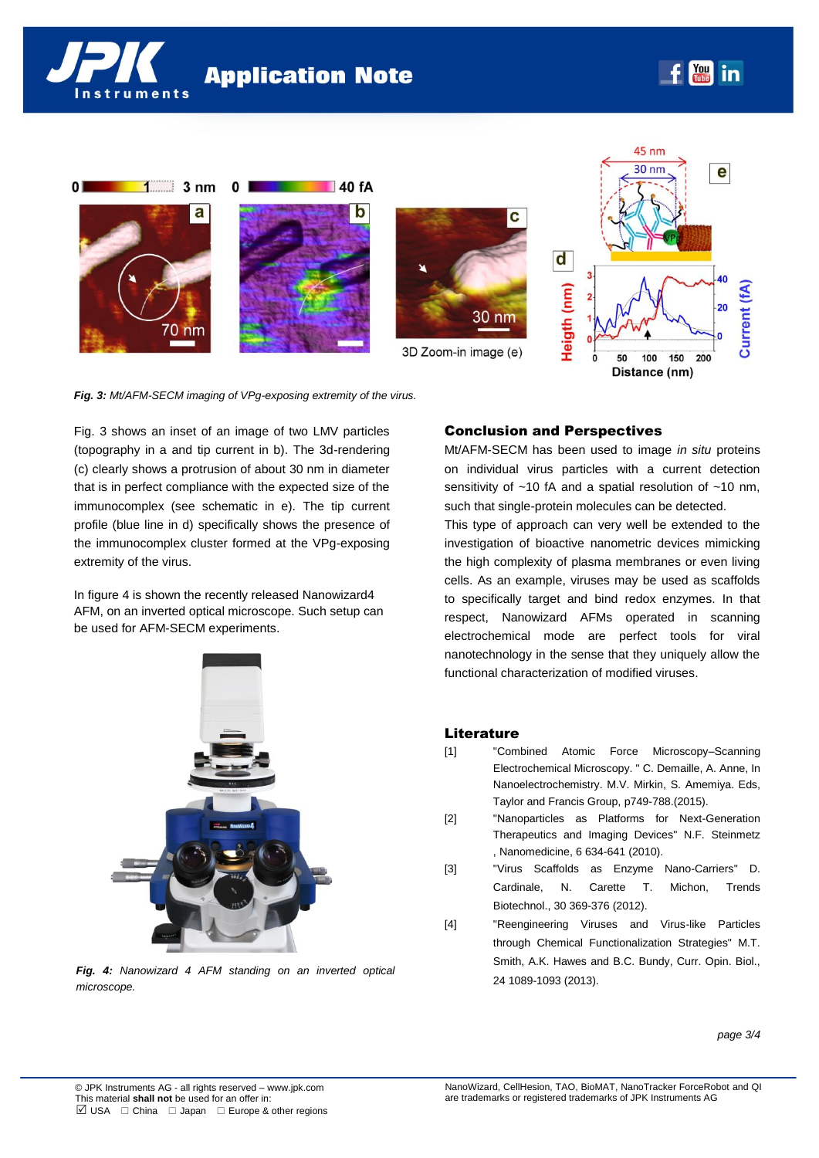



*Fig. 3: Mt/AFM-SECM imaging of VPg-exposing extremity of the virus.*

Fig. 3 shows an inset of an image of two LMV particles (topography in a and tip current in b). The 3d-rendering (c) clearly shows a protrusion of about 30 nm in diameter that is in perfect compliance with the expected size of the immunocomplex (see schematic in e). The tip current profile (blue line in d) specifically shows the presence of the immunocomplex cluster formed at the VPg-exposing extremity of the virus.

In figure 4 is shown the recently released Nanowizard4 AFM, on an inverted optical microscope. Such setup can be used for AFM-SECM experiments.



*Fig. 4: Nanowizard 4 AFM standing on an inverted optical microscope.* 

## Conclusion and Perspectives

Heiko Haschke

Mt/AFM-SECM has been used to image *in situ* proteins on individual virus particles with a current detection sensitivity of ~10 fA and a spatial resolution of ~10 nm, such that single-protein molecules can be detected.

This type of approach can very well be extended to the investigation of bioactive nanometric devices mimicking the high complexity of plasma membranes or even living cells. As an example, viruses may be used as scaffolds to specifically target and bind redox enzymes. In that respect, Nanowizard AFMs operated in scanning electrochemical mode are perfect tools for viral nanotechnology in the sense that they uniquely allow the functional characterization of modified viruses.

#### **Literature**

- [1] "Combined Atomic Force Microscopy–Scanning Electrochemical Microscopy. " C. Demaille, A. Anne, In Nanoelectrochemistry. M.V. Mirkin, S. Amemiya. Eds, Taylor and Francis Group, p749-788.(2015).
- [2] "Nanoparticles as Platforms for Next-Generation Therapeutics and Imaging Devices" N.F. Steinmetz , Nanomedicine, 6 634-641 (2010).
- [3] "Virus Scaffolds as Enzyme Nano-Carriers" D. Cardinale, N. Carette T. Michon, Trends Biotechnol., 30 369-376 (2012).
- [4] "Reengineering Viruses and Virus-like Particles through Chemical Functionalization Strategies" M.T. Smith, A.K. Hawes and B.C. Bundy, Curr. Opin. Biol., 24 1089-1093 (2013).

*page 3/4*